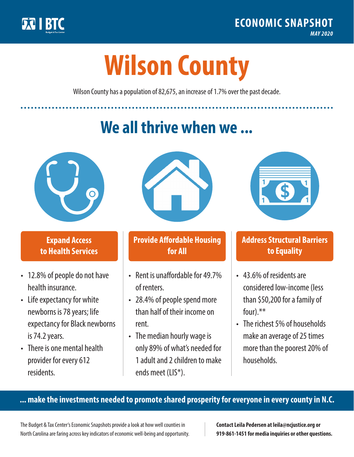

**1**

# **Wilson County**

Wilson County has a population of 82,675, an increase of 1.7% over the past decade.

# **We all thrive when we ...**



**\$ <sup>1</sup>**

**\$ <sup>1</sup>**

## **Expand Access to Health Services**

- 12.8% of people do not have health insurance.
- Life expectancy for white newborns is 78years; life expectancy for Black newborns is 74.2 years.
- There is one mental health provider for every 612 residents.



## **Provide Affordable Housing for All**

- Rent is unaffordable for 49 7% of renters.
- 28.4% of people spend more than half of their income on rent.
- The median hourly wage is only 89% of what's needed for 1 adult and 2 children to make ends meet (LIS\*).



## **Address Structural Barriers to Equality**

- 43.6% of residents are considered low-income (less than \$50,200 for a family of four).\*\*
- The richest 5% of households make an average of 25 times more than the poorest 20% of households.

#### **... make the investments needed to promote shared prosperity for everyone in every county in N.C.**

The Budget & Tax Center's Economic Snapshots provide a look at how well counties in North Carolina are faring across key indicators of economic well-being and opportunity.